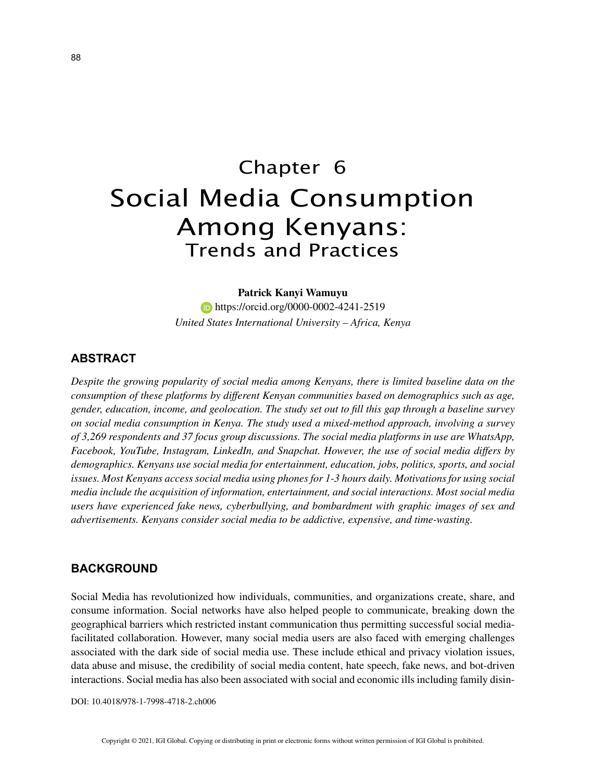# Chapter 6 Social Media Consumption Among Kenyans: Trends and Practices

#### **Patrick Kanyi Wamuyu**

**https://orcid.org/0000-0002-4241-2519** *United States International University – Africa, Kenya*

# **ABSTRACT**

*Despite the growing popularity of social media among Kenyans, there is limited baseline data on the consumption of these platforms by different Kenyan communities based on demographics such as age, gender, education, income, and geolocation. The study set out to fill this gap through a baseline survey on social media consumption in Kenya. The study used a mixed-method approach, involving a survey of 3,269 respondents and 37 focus group discussions. The social media platforms in use are WhatsApp, Facebook, YouTube, Instagram, LinkedIn, and Snapchat. However, the use of social media differs by demographics. Kenyans use social media for entertainment, education, jobs, politics, sports, and social issues. Most Kenyans access social media using phones for 1-3 hours daily. Motivations for using social media include the acquisition of information, entertainment, and social interactions. Most social media users have experienced fake news, cyberbullying, and bombardment with graphic images of sex and advertisements. Kenyans consider social media to be addictive, expensive, and time-wasting.*

## **BACKGROUND**

Social Media has revolutionized how individuals, communities, and organizations create, share, and consume information. Social networks have also helped people to communicate, breaking down the geographical barriers which restricted instant communication thus permitting successful social mediafacilitated collaboration. However, many social media users are also faced with emerging challenges associated with the dark side of social media use. These include ethical and privacy violation issues, data abuse and misuse, the credibility of social media content, hate speech, fake news, and bot-driven interactions. Social media has also been associated with social and economic ills including family disin-

DOI: 10.4018/978-1-7998-4718-2.ch006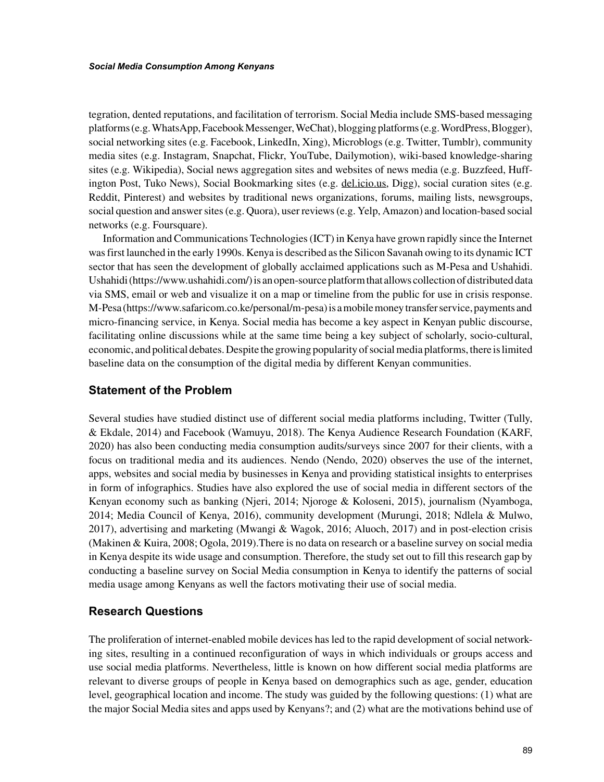tegration, dented reputations, and facilitation of terrorism. Social Media include SMS-based messaging platforms (e.g. WhatsApp, Facebook Messenger, WeChat), blogging platforms (e.g. WordPress, Blogger), social networking sites (e.g. Facebook, LinkedIn, Xing), Microblogs (e.g. Twitter, Tumblr), community media sites (e.g. Instagram, Snapchat, Flickr, YouTube, Dailymotion), wiki-based knowledge-sharing sites (e.g. Wikipedia), Social news aggregation sites and websites of news media (e.g. Buzzfeed, Huffington Post, Tuko News), Social Bookmarking sites (e.g. del.icio.us, Digg), social curation sites (e.g. Reddit, Pinterest) and websites by traditional news organizations, forums, mailing lists, newsgroups, social question and answer sites (e.g. Quora), user reviews (e.g. Yelp, Amazon) and location-based social networks (e.g. Foursquare).

Information and Communications Technologies (ICT) in Kenya have grown rapidly since the Internet was first launched in the early 1990s. Kenya is described as the Silicon Savanah owing to its dynamic ICT sector that has seen the development of globally acclaimed applications such as M-Pesa and Ushahidi. Ushahidi (https://www.ushahidi.com/) is an open-source platform that allows collection of distributed data via SMS, email or web and visualize it on a map or timeline from the public for use in crisis response. M-Pesa (https://www.safaricom.co.ke/personal/m-pesa) is a mobile money transfer service, payments and micro-financing service, in Kenya. Social media has become a key aspect in Kenyan public discourse, facilitating online discussions while at the same time being a key subject of scholarly, socio-cultural, economic, and political debates. Despite the growing popularity of social media platforms, there is limited baseline data on the consumption of the digital media by different Kenyan communities.

## **Statement of the Problem**

Several studies have studied distinct use of different social media platforms including, Twitter (Tully, & Ekdale, 2014) and Facebook (Wamuyu, 2018). The Kenya Audience Research Foundation (KARF, 2020) has also been conducting media consumption audits/surveys since 2007 for their clients, with a focus on traditional media and its audiences. Nendo (Nendo, 2020) observes the use of the internet, apps, websites and social media by businesses in Kenya and providing statistical insights to enterprises in form of infographics. Studies have also explored the use of social media in different sectors of the Kenyan economy such as banking (Njeri, 2014; Njoroge & Koloseni, 2015), journalism (Nyamboga, 2014; Media Council of Kenya, 2016), community development (Murungi, 2018; Ndlela & Mulwo, 2017), advertising and marketing (Mwangi & Wagok, 2016; Aluoch, 2017) and in post-election crisis (Makinen & Kuira, 2008; Ogola, 2019).There is no data on research or a baseline survey on social media in Kenya despite its wide usage and consumption. Therefore, the study set out to fill this research gap by conducting a baseline survey on Social Media consumption in Kenya to identify the patterns of social media usage among Kenyans as well the factors motivating their use of social media.

## **Research Questions**

The proliferation of internet-enabled mobile devices has led to the rapid development of social networking sites, resulting in a continued reconfiguration of ways in which individuals or groups access and use social media platforms. Nevertheless, little is known on how different social media platforms are relevant to diverse groups of people in Kenya based on demographics such as age, gender, education level, geographical location and income. The study was guided by the following questions: (1) what are the major Social Media sites and apps used by Kenyans?; and (2) what are the motivations behind use of